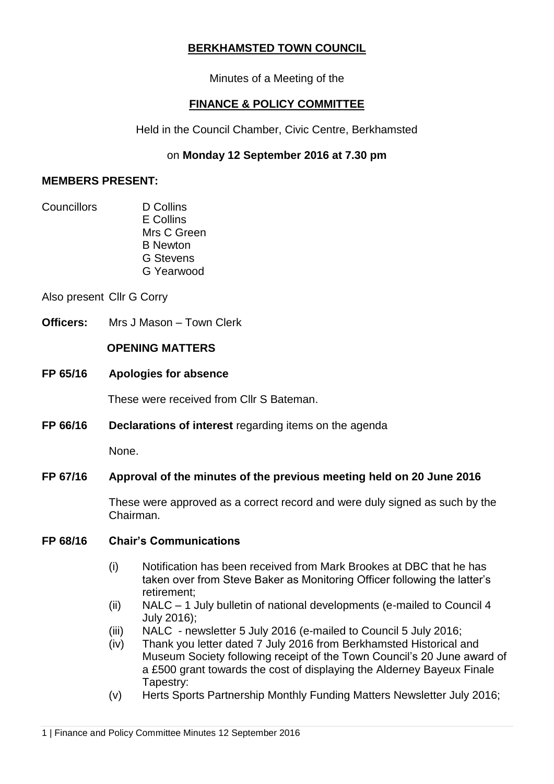# **BERKHAMSTED TOWN COUNCIL**

Minutes of a Meeting of the

# **FINANCE & POLICY COMMITTEE**

Held in the Council Chamber, Civic Centre, Berkhamsted

# on **Monday 12 September 2016 at 7.30 pm**

## **MEMBERS PRESENT:**

- Councillors D Collins
	- E Collins Mrs C Green B Newton G Stevens G Yearwood

Also present Cllr G Corry

**Officers:** Mrs J Mason – Town Clerk

# **OPENING MATTERS**

**FP 65/16 Apologies for absence**

These were received from Cllr S Bateman.

**FP 66/16 Declarations of interest** regarding items on the agenda

None.

# **FP 67/16 Approval of the minutes of the previous meeting held on 20 June 2016**

These were approved as a correct record and were duly signed as such by the Chairman.

# **FP 68/16 Chair's Communications**

- (i) Notification has been received from Mark Brookes at DBC that he has taken over from Steve Baker as Monitoring Officer following the latter's retirement;
- (ii) NALC 1 July bulletin of national developments (e-mailed to Council 4 July 2016);
- (iii) NALC newsletter 5 July 2016 (e-mailed to Council 5 July 2016;
- (iv) Thank you letter dated 7 July 2016 from Berkhamsted Historical and Museum Society following receipt of the Town Council's 20 June award of a £500 grant towards the cost of displaying the Alderney Bayeux Finale Tapestry:
- (v) Herts Sports Partnership Monthly Funding Matters Newsletter July 2016;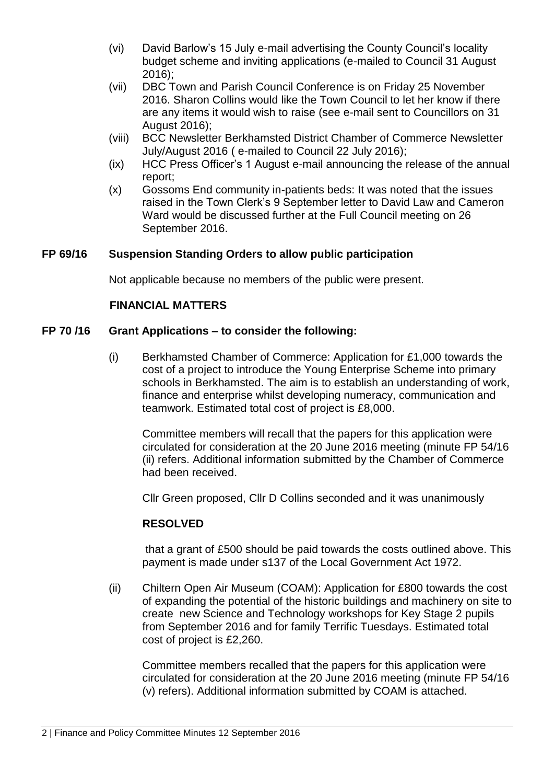- (vi) David Barlow's 15 July e-mail advertising the County Council's locality budget scheme and inviting applications (e-mailed to Council 31 August 2016);
- (vii) DBC Town and Parish Council Conference is on Friday 25 November 2016. Sharon Collins would like the Town Council to let her know if there are any items it would wish to raise (see e-mail sent to Councillors on 31 August 2016);
- (viii) BCC Newsletter Berkhamsted District Chamber of Commerce Newsletter July/August 2016 ( e-mailed to Council 22 July 2016);
- (ix) HCC Press Officer's 1 August e-mail announcing the release of the annual report;
- (x) Gossoms End community in-patients beds: It was noted that the issues raised in the Town Clerk's 9 September letter to David Law and Cameron Ward would be discussed further at the Full Council meeting on 26 September 2016.

### **FP 69/16 Suspension Standing Orders to allow public participation**

Not applicable because no members of the public were present.

### **FINANCIAL MATTERS**

#### **FP 70 /16 Grant Applications – to consider the following:**

(i) Berkhamsted Chamber of Commerce: Application for £1,000 towards the cost of a project to introduce the Young Enterprise Scheme into primary schools in Berkhamsted. The aim is to establish an understanding of work, finance and enterprise whilst developing numeracy, communication and teamwork. Estimated total cost of project is £8,000.

Committee members will recall that the papers for this application were circulated for consideration at the 20 June 2016 meeting (minute FP 54/16 (ii) refers. Additional information submitted by the Chamber of Commerce had been received.

Cllr Green proposed, Cllr D Collins seconded and it was unanimously

### **RESOLVED**

that a grant of £500 should be paid towards the costs outlined above. This payment is made under s137 of the Local Government Act 1972.

(ii) Chiltern Open Air Museum (COAM): Application for £800 towards the cost of expanding the potential of the historic buildings and machinery on site to create new Science and Technology workshops for Key Stage 2 pupils from September 2016 and for family Terrific Tuesdays. Estimated total cost of project is £2,260.

Committee members recalled that the papers for this application were circulated for consideration at the 20 June 2016 meeting (minute FP 54/16 (v) refers). Additional information submitted by COAM is attached.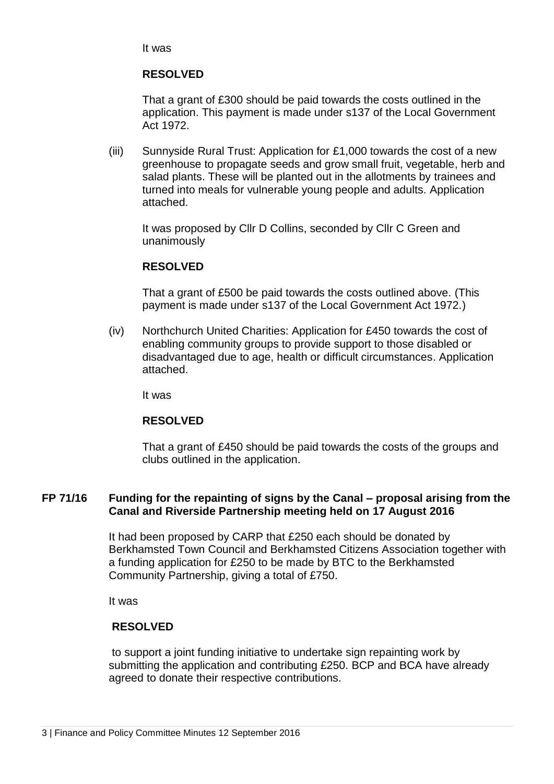It was

### **RESOLVED**

That a grant of £300 should be paid towards the costs outlined in the application. This payment is made under s137 of the Local Government Act 1972.

(iii) Sunnyside Rural Trust: Application for £1,000 towards the cost of a new greenhouse to propagate seeds and grow small fruit, vegetable, herb and salad plants. These will be planted out in the allotments by trainees and turned into meals for vulnerable young people and adults. Application attached.

It was proposed by Cllr D Collins, seconded by Cllr C Green and unanimously

### **RESOLVED**

That a grant of £500 be paid towards the costs outlined above. (This payment is made under s137 of the Local Government Act 1972.)

(iv) Northchurch United Charities: Application for £450 towards the cost of enabling community groups to provide support to those disabled or disadvantaged due to age, health or difficult circumstances. Application attached.

It was

### **RESOLVED**

That a grant of £450 should be paid towards the costs of the groups and clubs outlined in the application.

### **FP 71/16 Funding for the repainting of signs by the Canal – proposal arising from the Canal and Riverside Partnership meeting held on 17 August 2016**

It had been proposed by CARP that £250 each should be donated by Berkhamsted Town Council and Berkhamsted Citizens Association together with a funding application for £250 to be made by BTC to the Berkhamsted Community Partnership, giving a total of £750.

It was

### **RESOLVED**

to support a joint funding initiative to undertake sign repainting work by submitting the application and contributing £250. BCP and BCA have already agreed to donate their respective contributions.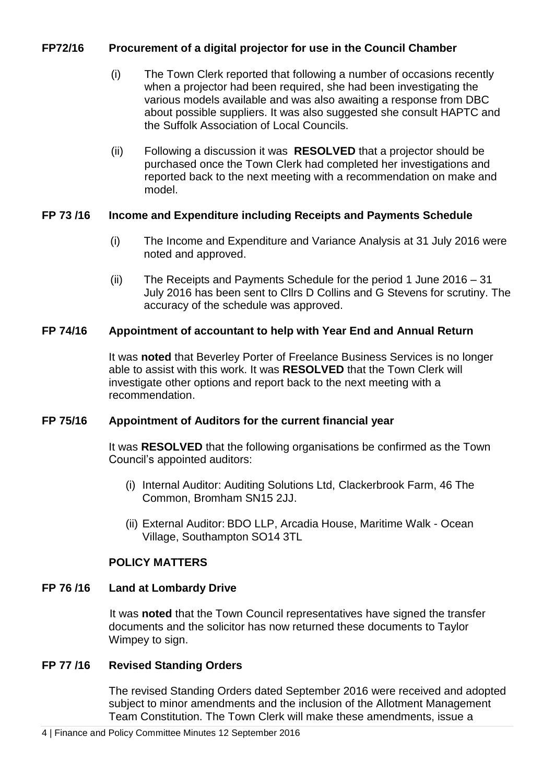### **FP72/16 Procurement of a digital projector for use in the Council Chamber**

- (i) The Town Clerk reported that following a number of occasions recently when a projector had been required, she had been investigating the various models available and was also awaiting a response from DBC about possible suppliers. It was also suggested she consult HAPTC and the Suffolk Association of Local Councils.
- (ii) Following a discussion it was **RESOLVED** that a projector should be purchased once the Town Clerk had completed her investigations and reported back to the next meeting with a recommendation on make and model.

### **FP 73 /16 Income and Expenditure including Receipts and Payments Schedule**

- (i) The Income and Expenditure and Variance Analysis at 31 July 2016 were noted and approved.
- (ii) The Receipts and Payments Schedule for the period 1 June 2016 31 July 2016 has been sent to Cllrs D Collins and G Stevens for scrutiny. The accuracy of the schedule was approved.

### **FP 74/16 Appointment of accountant to help with Year End and Annual Return**

It was **noted** that Beverley Porter of Freelance Business Services is no longer able to assist with this work. It was **RESOLVED** that the Town Clerk will investigate other options and report back to the next meeting with a recommendation.

### **FP 75/16 Appointment of Auditors for the current financial year**

It was **RESOLVED** that the following organisations be confirmed as the Town Council's appointed auditors:

- (i) Internal Auditor: Auditing Solutions Ltd, Clackerbrook Farm, 46 The Common, Bromham SN15 2JJ.
- (ii) External Auditor: BDO LLP, Arcadia House, Maritime Walk Ocean Village, Southampton SO14 3TL

# **POLICY MATTERS**

# **FP 76 /16 Land at Lombardy Drive**

It was **noted** that the Town Council representatives have signed the transfer documents and the solicitor has now returned these documents to Taylor Wimpey to sign.

# **FP 77 /16 Revised Standing Orders**

The revised Standing Orders dated September 2016 were received and adopted subject to minor amendments and the inclusion of the Allotment Management Team Constitution. The Town Clerk will make these amendments, issue a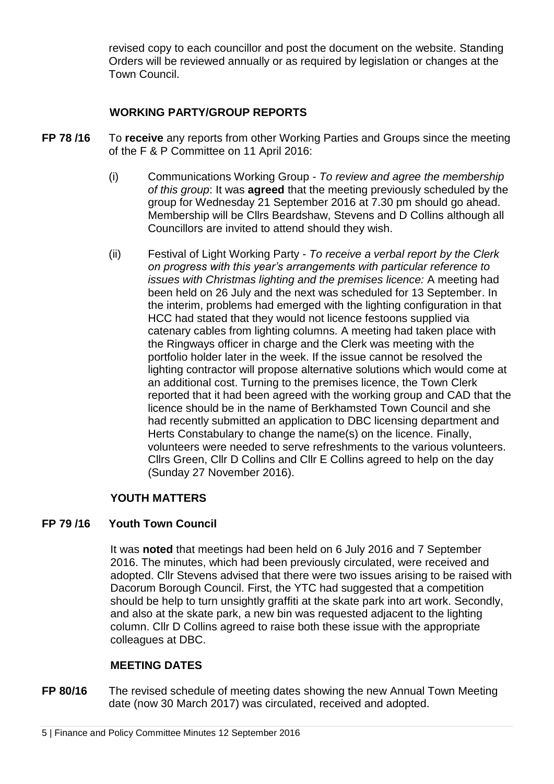revised copy to each councillor and post the document on the website. Standing Orders will be reviewed annually or as required by legislation or changes at the Town Council.

# **WORKING PARTY/GROUP REPORTS**

- **FP 78 /16** To **receive** any reports from other Working Parties and Groups since the meeting of the F & P Committee on 11 April 2016:
	- (i) Communications Working Group *To review and agree the membership of this group*: It was **agreed** that the meeting previously scheduled by the group for Wednesday 21 September 2016 at 7.30 pm should go ahead. Membership will be Cllrs Beardshaw, Stevens and D Collins although all Councillors are invited to attend should they wish.
	- (ii) Festival of Light Working Party *To receive a verbal report by the Clerk on progress with this year's arrangements with particular reference to issues with Christmas lighting and the premises licence:* A meeting had been held on 26 July and the next was scheduled for 13 September. In the interim, problems had emerged with the lighting configuration in that HCC had stated that they would not licence festoons supplied via catenary cables from lighting columns. A meeting had taken place with the Ringways officer in charge and the Clerk was meeting with the portfolio holder later in the week. If the issue cannot be resolved the lighting contractor will propose alternative solutions which would come at an additional cost. Turning to the premises licence, the Town Clerk reported that it had been agreed with the working group and CAD that the licence should be in the name of Berkhamsted Town Council and she had recently submitted an application to DBC licensing department and Herts Constabulary to change the name(s) on the licence. Finally, volunteers were needed to serve refreshments to the various volunteers. Cllrs Green, Cllr D Collins and Cllr E Collins agreed to help on the day (Sunday 27 November 2016).

# **YOUTH MATTERS**

### **FP 79 /16 Youth Town Council**

It was **noted** that meetings had been held on 6 July 2016 and 7 September 2016. The minutes, which had been previously circulated, were received and adopted. Cllr Stevens advised that there were two issues arising to be raised with Dacorum Borough Council. First, the YTC had suggested that a competition should be help to turn unsightly graffiti at the skate park into art work. Secondly, and also at the skate park, a new bin was requested adjacent to the lighting column. Cllr D Collins agreed to raise both these issue with the appropriate colleagues at DBC.

# **MEETING DATES**

**FP 80/16** The revised schedule of meeting dates showing the new Annual Town Meeting date (now 30 March 2017) was circulated, received and adopted.